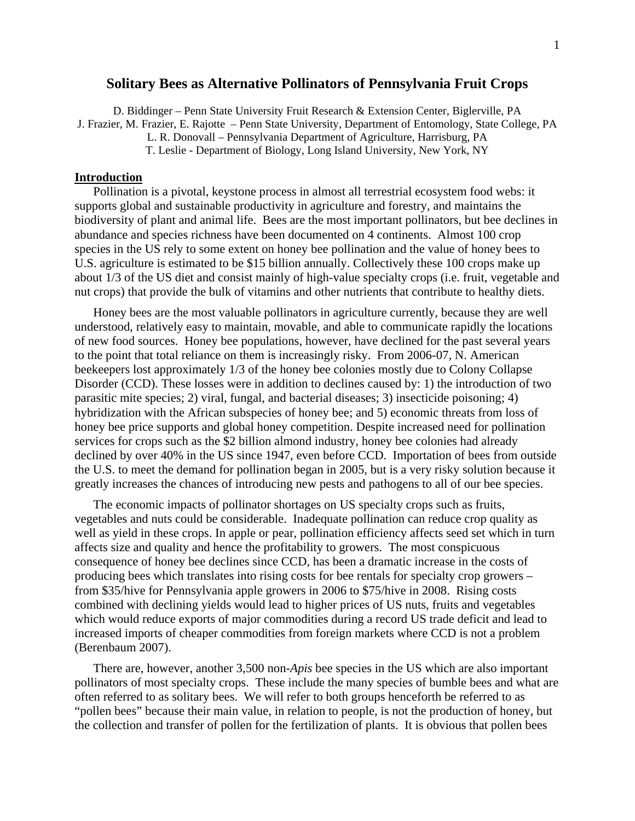# **Solitary Bees as Alternative Pollinators of Pennsylvania Fruit Crops**

D. Biddinger – Penn State University Fruit Research & Extension Center, Biglerville, PA J. Frazier, M. Frazier, E. Rajotte – Penn State University, Department of Entomology, State College, PA

L. R. Donovall – Pennsylvania Department of Agriculture, Harrisburg, PA

T. Leslie - Department of Biology, Long Island University, New York, NY

#### **Introduction**

 Pollination is a pivotal, keystone process in almost all terrestrial ecosystem food webs: it supports global and sustainable productivity in agriculture and forestry, and maintains the biodiversity of plant and animal life. Bees are the most important pollinators, but bee declines in abundance and species richness have been documented on 4 continents. Almost 100 crop species in the US rely to some extent on honey bee pollination and the value of honey bees to U.S. agriculture is estimated to be \$15 billion annually. Collectively these 100 crops make up about 1/3 of the US diet and consist mainly of high-value specialty crops (i.e. fruit, vegetable and nut crops) that provide the bulk of vitamins and other nutrients that contribute to healthy diets.

 Honey bees are the most valuable pollinators in agriculture currently, because they are well understood, relatively easy to maintain, movable, and able to communicate rapidly the locations of new food sources. Honey bee populations, however, have declined for the past several years to the point that total reliance on them is increasingly risky. From 2006-07, N. American beekeepers lost approximately 1/3 of the honey bee colonies mostly due to Colony Collapse Disorder (CCD). These losses were in addition to declines caused by: 1) the introduction of two parasitic mite species; 2) viral, fungal, and bacterial diseases; 3) insecticide poisoning; 4) hybridization with the African subspecies of honey bee; and 5) economic threats from loss of honey bee price supports and global honey competition. Despite increased need for pollination services for crops such as the \$2 billion almond industry, honey bee colonies had already declined by over 40% in the US since 1947, even before CCD. Importation of bees from outside the U.S. to meet the demand for pollination began in 2005, but is a very risky solution because it greatly increases the chances of introducing new pests and pathogens to all of our bee species.

 The economic impacts of pollinator shortages on US specialty crops such as fruits, vegetables and nuts could be considerable. Inadequate pollination can reduce crop quality as well as yield in these crops. In apple or pear, pollination efficiency affects seed set which in turn affects size and quality and hence the profitability to growers. The most conspicuous consequence of honey bee declines since CCD, has been a dramatic increase in the costs of producing bees which translates into rising costs for bee rentals for specialty crop growers – from \$35/hive for Pennsylvania apple growers in 2006 to \$75/hive in 2008. Rising costs combined with declining yields would lead to higher prices of US nuts, fruits and vegetables which would reduce exports of major commodities during a record US trade deficit and lead to increased imports of cheaper commodities from foreign markets where CCD is not a problem (Berenbaum 2007).

 There are, however, another 3,500 non-*Apis* bee species in the US which are also important pollinators of most specialty crops. These include the many species of bumble bees and what are often referred to as solitary bees. We will refer to both groups henceforth be referred to as "pollen bees" because their main value, in relation to people, is not the production of honey, but the collection and transfer of pollen for the fertilization of plants. It is obvious that pollen bees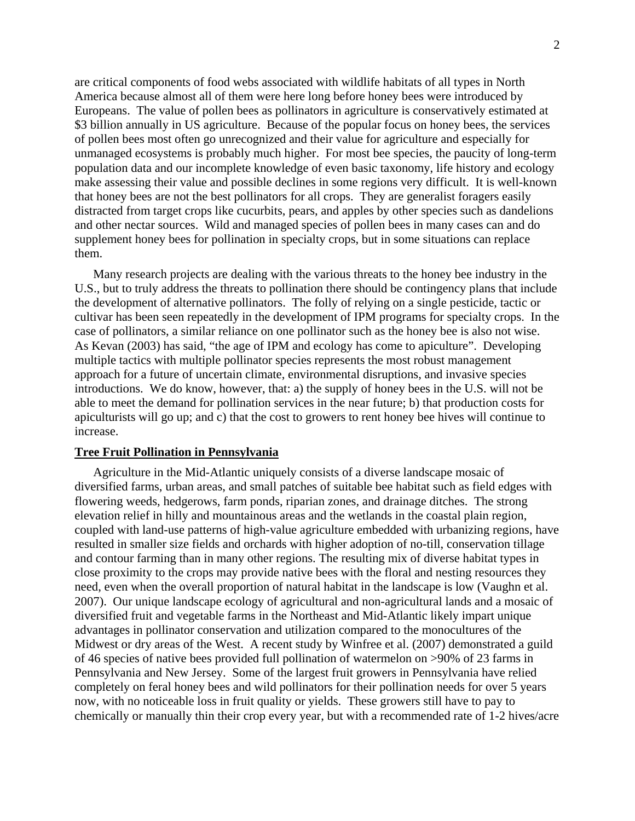are critical components of food webs associated with wildlife habitats of all types in North America because almost all of them were here long before honey bees were introduced by Europeans. The value of pollen bees as pollinators in agriculture is conservatively estimated at \$3 billion annually in US agriculture. Because of the popular focus on honey bees, the services of pollen bees most often go unrecognized and their value for agriculture and especially for unmanaged ecosystems is probably much higher. For most bee species, the paucity of long-term population data and our incomplete knowledge of even basic taxonomy, life history and ecology make assessing their value and possible declines in some regions very difficult. It is well-known that honey bees are not the best pollinators for all crops. They are generalist foragers easily distracted from target crops like cucurbits, pears, and apples by other species such as dandelions and other nectar sources. Wild and managed species of pollen bees in many cases can and do supplement honey bees for pollination in specialty crops, but in some situations can replace them.

 Many research projects are dealing with the various threats to the honey bee industry in the U.S., but to truly address the threats to pollination there should be contingency plans that include the development of alternative pollinators. The folly of relying on a single pesticide, tactic or cultivar has been seen repeatedly in the development of IPM programs for specialty crops. In the case of pollinators, a similar reliance on one pollinator such as the honey bee is also not wise. As Kevan (2003) has said, "the age of IPM and ecology has come to apiculture". Developing multiple tactics with multiple pollinator species represents the most robust management approach for a future of uncertain climate, environmental disruptions, and invasive species introductions. We do know, however, that: a) the supply of honey bees in the U.S. will not be able to meet the demand for pollination services in the near future; b) that production costs for apiculturists will go up; and c) that the cost to growers to rent honey bee hives will continue to increase.

### **Tree Fruit Pollination in Pennsylvania**

 Agriculture in the Mid-Atlantic uniquely consists of a diverse landscape mosaic of diversified farms, urban areas, and small patches of suitable bee habitat such as field edges with flowering weeds, hedgerows, farm ponds, riparian zones, and drainage ditches. The strong elevation relief in hilly and mountainous areas and the wetlands in the coastal plain region, coupled with land-use patterns of high-value agriculture embedded with urbanizing regions, have resulted in smaller size fields and orchards with higher adoption of no-till, conservation tillage and contour farming than in many other regions. The resulting mix of diverse habitat types in close proximity to the crops may provide native bees with the floral and nesting resources they need, even when the overall proportion of natural habitat in the landscape is low (Vaughn et al. 2007). Our unique landscape ecology of agricultural and non-agricultural lands and a mosaic of diversified fruit and vegetable farms in the Northeast and Mid-Atlantic likely impart unique advantages in pollinator conservation and utilization compared to the monocultures of the Midwest or dry areas of the West. A recent study by Winfree et al. (2007) demonstrated a guild of 46 species of native bees provided full pollination of watermelon on >90% of 23 farms in Pennsylvania and New Jersey. Some of the largest fruit growers in Pennsylvania have relied completely on feral honey bees and wild pollinators for their pollination needs for over 5 years now, with no noticeable loss in fruit quality or yields. These growers still have to pay to chemically or manually thin their crop every year, but with a recommended rate of 1-2 hives/acre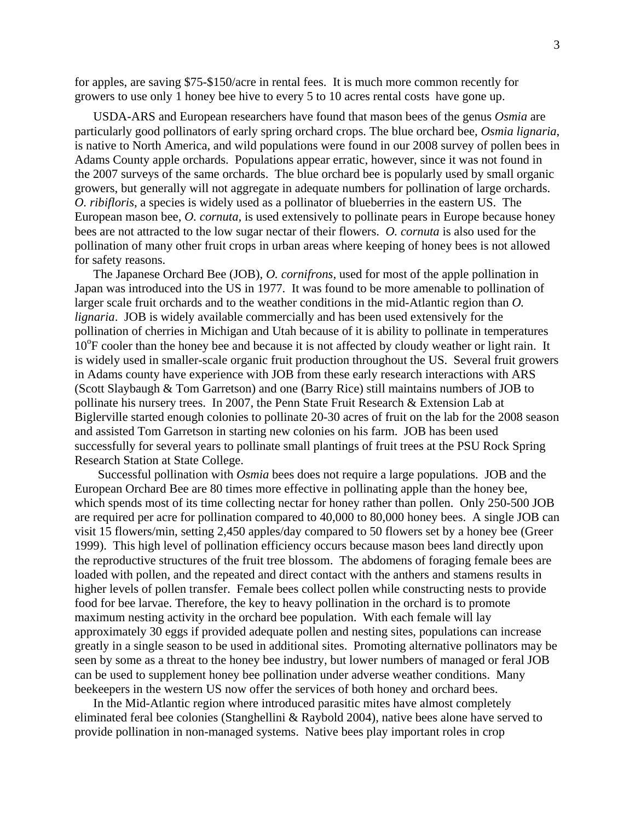for apples, are saving \$75-\$150/acre in rental fees. It is much more common recently for growers to use only 1 honey bee hive to every 5 to 10 acres rental costs have gone up.

 USDA-ARS and European researchers have found that mason bees of the genus *Osmia* are particularly good pollinators of early spring orchard crops. The blue orchard bee, *Osmia lignaria*, is native to North America, and wild populations were found in our 2008 survey of pollen bees in Adams County apple orchards. Populations appear erratic, however, since it was not found in the 2007 surveys of the same orchards. The blue orchard bee is popularly used by small organic growers, but generally will not aggregate in adequate numbers for pollination of large orchards. *O. ribifloris*, a species is widely used as a pollinator of blueberries in the eastern US. The European mason bee, *O. cornuta,* is used extensively to pollinate pears in Europe because honey bees are not attracted to the low sugar nectar of their flowers. *O. cornuta* is also used for the pollination of many other fruit crops in urban areas where keeping of honey bees is not allowed for safety reasons.

 The Japanese Orchard Bee (JOB), *O. cornifrons*, used for most of the apple pollination in Japan was introduced into the US in 1977. It was found to be more amenable to pollination of larger scale fruit orchards and to the weather conditions in the mid-Atlantic region than *O. lignaria*. JOB is widely available commercially and has been used extensively for the pollination of cherries in Michigan and Utah because of it is ability to pollinate in temperatures 10<sup>o</sup>F cooler than the honey bee and because it is not affected by cloudy weather or light rain. It is widely used in smaller-scale organic fruit production throughout the US. Several fruit growers in Adams county have experience with JOB from these early research interactions with ARS (Scott Slaybaugh & Tom Garretson) and one (Barry Rice) still maintains numbers of JOB to pollinate his nursery trees. In 2007, the Penn State Fruit Research & Extension Lab at Biglerville started enough colonies to pollinate 20-30 acres of fruit on the lab for the 2008 season and assisted Tom Garretson in starting new colonies on his farm. JOB has been used successfully for several years to pollinate small plantings of fruit trees at the PSU Rock Spring Research Station at State College.

 Successful pollination with *Osmia* bees does not require a large populations. JOB and the European Orchard Bee are 80 times more effective in pollinating apple than the honey bee, which spends most of its time collecting nectar for honey rather than pollen. Only 250-500 JOB are required per acre for pollination compared to 40,000 to 80,000 honey bees. A single JOB can visit 15 flowers/min, setting 2,450 apples/day compared to 50 flowers set by a honey bee (Greer 1999). This high level of pollination efficiency occurs because mason bees land directly upon the reproductive structures of the fruit tree blossom. The abdomens of foraging female bees are loaded with pollen, and the repeated and direct contact with the anthers and stamens results in higher levels of pollen transfer. Female bees collect pollen while constructing nests to provide food for bee larvae. Therefore, the key to heavy pollination in the orchard is to promote maximum nesting activity in the orchard bee population. With each female will lay approximately 30 eggs if provided adequate pollen and nesting sites, populations can increase greatly in a single season to be used in additional sites. Promoting alternative pollinators may be seen by some as a threat to the honey bee industry, but lower numbers of managed or feral JOB can be used to supplement honey bee pollination under adverse weather conditions. Many beekeepers in the western US now offer the services of both honey and orchard bees.

 In the Mid-Atlantic region where introduced parasitic mites have almost completely eliminated feral bee colonies (Stanghellini & Raybold 2004), native bees alone have served to provide pollination in non-managed systems. Native bees play important roles in crop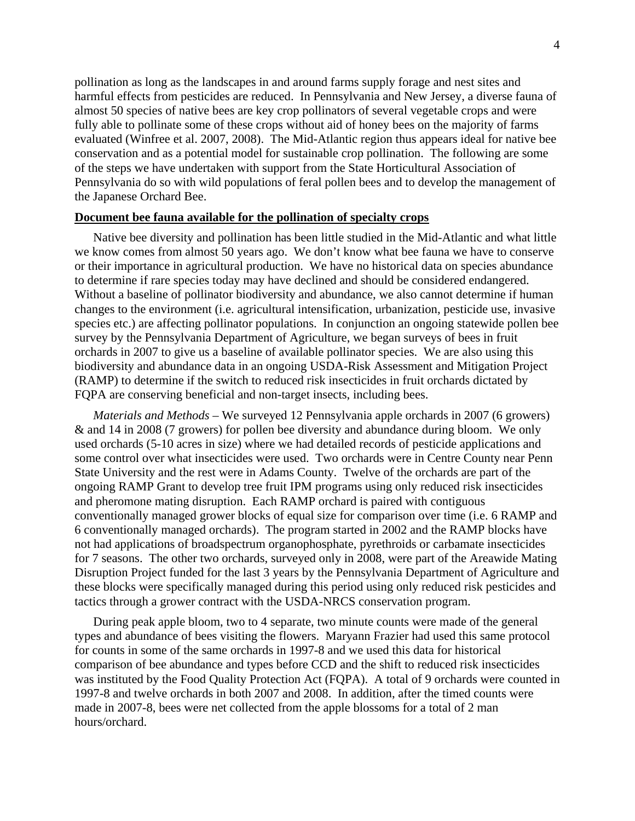pollination as long as the landscapes in and around farms supply forage and nest sites and harmful effects from pesticides are reduced. In Pennsylvania and New Jersey, a diverse fauna of almost 50 species of native bees are key crop pollinators of several vegetable crops and were fully able to pollinate some of these crops without aid of honey bees on the majority of farms evaluated (Winfree et al. 2007, 2008). The Mid-Atlantic region thus appears ideal for native bee conservation and as a potential model for sustainable crop pollination. The following are some of the steps we have undertaken with support from the State Horticultural Association of Pennsylvania do so with wild populations of feral pollen bees and to develop the management of the Japanese Orchard Bee.

# **Document bee fauna available for the pollination of specialty crops**

 Native bee diversity and pollination has been little studied in the Mid-Atlantic and what little we know comes from almost 50 years ago. We don't know what bee fauna we have to conserve or their importance in agricultural production. We have no historical data on species abundance to determine if rare species today may have declined and should be considered endangered. Without a baseline of pollinator biodiversity and abundance, we also cannot determine if human changes to the environment (i.e. agricultural intensification, urbanization, pesticide use, invasive species etc.) are affecting pollinator populations. In conjunction an ongoing statewide pollen bee survey by the Pennsylvania Department of Agriculture, we began surveys of bees in fruit orchards in 2007 to give us a baseline of available pollinator species. We are also using this biodiversity and abundance data in an ongoing USDA-Risk Assessment and Mitigation Project (RAMP) to determine if the switch to reduced risk insecticides in fruit orchards dictated by FQPA are conserving beneficial and non-target insects, including bees.

*Materials and Methods* – We surveyed 12 Pennsylvania apple orchards in 2007 (6 growers) & and 14 in 2008 (7 growers) for pollen bee diversity and abundance during bloom. We only used orchards (5-10 acres in size) where we had detailed records of pesticide applications and some control over what insecticides were used. Two orchards were in Centre County near Penn State University and the rest were in Adams County. Twelve of the orchards are part of the ongoing RAMP Grant to develop tree fruit IPM programs using only reduced risk insecticides and pheromone mating disruption. Each RAMP orchard is paired with contiguous conventionally managed grower blocks of equal size for comparison over time (i.e. 6 RAMP and 6 conventionally managed orchards). The program started in 2002 and the RAMP blocks have not had applications of broadspectrum organophosphate, pyrethroids or carbamate insecticides for 7 seasons. The other two orchards, surveyed only in 2008, were part of the Areawide Mating Disruption Project funded for the last 3 years by the Pennsylvania Department of Agriculture and these blocks were specifically managed during this period using only reduced risk pesticides and tactics through a grower contract with the USDA-NRCS conservation program.

 During peak apple bloom, two to 4 separate, two minute counts were made of the general types and abundance of bees visiting the flowers. Maryann Frazier had used this same protocol for counts in some of the same orchards in 1997-8 and we used this data for historical comparison of bee abundance and types before CCD and the shift to reduced risk insecticides was instituted by the Food Quality Protection Act (FQPA). A total of 9 orchards were counted in 1997-8 and twelve orchards in both 2007 and 2008. In addition, after the timed counts were made in 2007-8, bees were net collected from the apple blossoms for a total of 2 man hours/orchard.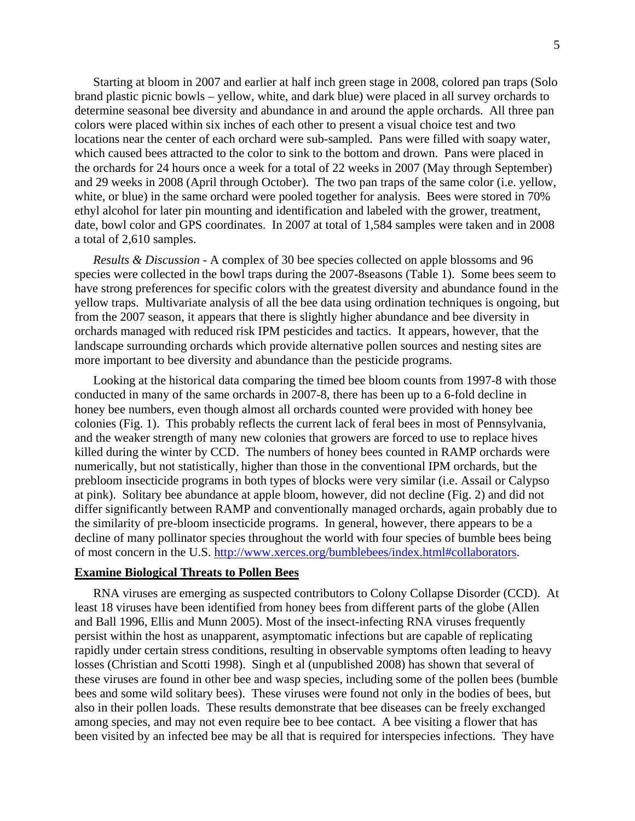Starting at bloom in 2007 and earlier at half inch green stage in 2008, colored pan traps (Solo brand plastic picnic bowls – yellow, white, and dark blue) were placed in all survey orchards to determine seasonal bee diversity and abundance in and around the apple orchards. All three pan colors were placed within six inches of each other to present a visual choice test and two locations near the center of each orchard were sub-sampled. Pans were filled with soapy water, which caused bees attracted to the color to sink to the bottom and drown. Pans were placed in the orchards for 24 hours once a week for a total of 22 weeks in 2007 (May through September) and 29 weeks in 2008 (April through October). The two pan traps of the same color (i.e. yellow, white, or blue) in the same orchard were pooled together for analysis. Bees were stored in 70% ethyl alcohol for later pin mounting and identification and labeled with the grower, treatment, date, bowl color and GPS coordinates. In 2007 at total of 1,584 samples were taken and in 2008 a total of 2,610 samples.

 *Results & Discussion* - A complex of 30 bee species collected on apple blossoms and 96 species were collected in the bowl traps during the 2007-8seasons (Table 1). Some bees seem to have strong preferences for specific colors with the greatest diversity and abundance found in the yellow traps. Multivariate analysis of all the bee data using ordination techniques is ongoing, but from the 2007 season, it appears that there is slightly higher abundance and bee diversity in orchards managed with reduced risk IPM pesticides and tactics. It appears, however, that the landscape surrounding orchards which provide alternative pollen sources and nesting sites are more important to bee diversity and abundance than the pesticide programs.

 Looking at the historical data comparing the timed bee bloom counts from 1997-8 with those conducted in many of the same orchards in 2007-8, there has been up to a 6-fold decline in honey bee numbers, even though almost all orchards counted were provided with honey bee colonies (Fig. 1). This probably reflects the current lack of feral bees in most of Pennsylvania, and the weaker strength of many new colonies that growers are forced to use to replace hives killed during the winter by CCD. The numbers of honey bees counted in RAMP orchards were numerically, but not statistically, higher than those in the conventional IPM orchards, but the prebloom insecticide programs in both types of blocks were very similar (i.e. Assail or Calypso at pink). Solitary bee abundance at apple bloom, however, did not decline (Fig. 2) and did not differ significantly between RAMP and conventionally managed orchards, again probably due to the similarity of pre-bloom insecticide programs. In general, however, there appears to be a decline of many pollinator species throughout the world with four species of bumble bees being of most concern in the U.S. <http://www.xerces.org/bumblebees/index.html#collaborators>.

#### **Examine Biological Threats to Pollen Bees**

RNA viruses are emerging as suspected contributors to Colony Collapse Disorder (CCD). At least 18 viruses have been identified from honey bees from different parts of the globe (Allen and Ball 1996, Ellis and Munn 2005). Most of the insect-infecting RNA viruses frequently persist within the host as unapparent, asymptomatic infections but are capable of replicating rapidly under certain stress conditions, resulting in observable symptoms often leading to heavy losses (Christian and Scotti 1998). Singh et al (unpublished 2008) has shown that several of these viruses are found in other bee and wasp species, including some of the pollen bees (bumble bees and some wild solitary bees). These viruses were found not only in the bodies of bees, but also in their pollen loads. These results demonstrate that bee diseases can be freely exchanged among species, and may not even require bee to bee contact. A bee visiting a flower that has been visited by an infected bee may be all that is required for interspecies infections. They have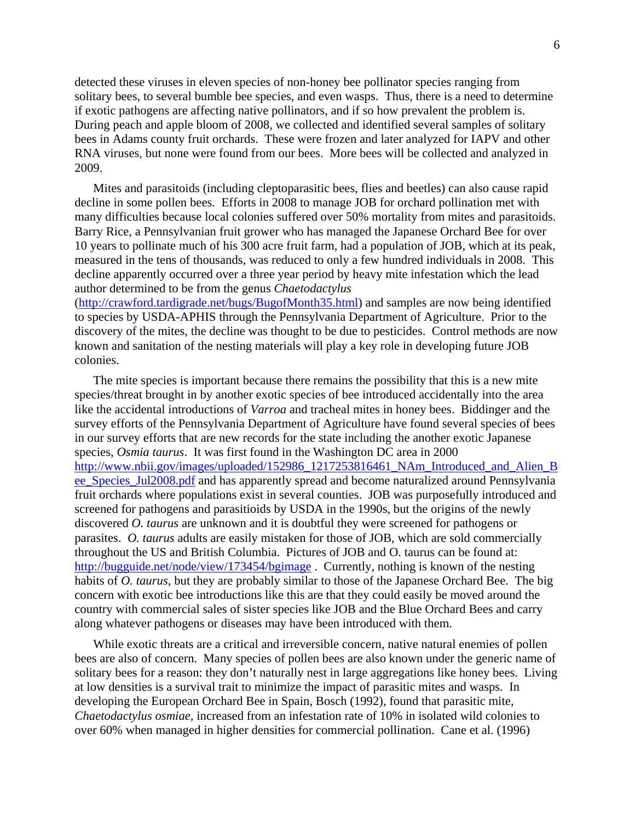detected these viruses in eleven species of non-honey bee pollinator species ranging from solitary bees, to several bumble bee species, and even wasps. Thus, there is a need to determine if exotic pathogens are affecting native pollinators, and if so how prevalent the problem is. During peach and apple bloom of 2008, we collected and identified several samples of solitary bees in Adams county fruit orchards. These were frozen and later analyzed for IAPV and other RNA viruses, but none were found from our bees. More bees will be collected and analyzed in 2009.

 Mites and parasitoids (including cleptoparasitic bees, flies and beetles) can also cause rapid decline in some pollen bees. Efforts in 2008 to manage JOB for orchard pollination met with many difficulties because local colonies suffered over 50% mortality from mites and parasitoids. Barry Rice, a Pennsylvanian fruit grower who has managed the Japanese Orchard Bee for over 10 years to pollinate much of his 300 acre fruit farm, had a population of JOB, which at its peak, measured in the tens of thousands, was reduced to only a few hundred individuals in 2008. This decline apparently occurred over a three year period by heavy mite infestation which the lead author determined to be from the genus *Chaetodactylus*

([http://crawford.tardigrade.net/bugs/BugofMonth35.html\)](http://crawford.tardigrade.net/bugs/BugofMonth35.html) and samples are now being identified to species by USDA-APHIS through the Pennsylvania Department of Agriculture. Prior to the discovery of the mites, the decline was thought to be due to pesticides. Control methods are now known and sanitation of the nesting materials will play a key role in developing future JOB colonies.

 The mite species is important because there remains the possibility that this is a new mite species/threat brought in by another exotic species of bee introduced accidentally into the area like the accidental introductions of *Varroa* and tracheal mites in honey bees. Biddinger and the survey efforts of the Pennsylvania Department of Agriculture have found several species of bees in our survey efforts that are new records for the state including the another exotic Japanese species, *Osmia taurus*. It was first found in the Washington DC area in 2000 [http://www.nbii.gov/images/uploaded/152986\\_1217253816461\\_NAm\\_Introduced\\_and\\_Alien\\_B](http://www.nbii.gov/images/uploaded/152986_1217253816461_NAm_Introduced_and_Alien_Bee_Species_Jul2008.pdf) ee Species Jul2008.pdf and has apparently spread and become naturalized around Pennsylvania fruit orchards where populations exist in several counties. JOB was purposefully introduced and screened for pathogens and parasitioids by USDA in the 1990s, but the origins of the newly discovered *O. taurus* are unknown and it is doubtful they were screened for pathogens or parasites. *O. taurus* adults are easily mistaken for those of JOB, which are sold commercially throughout the US and British Columbia. Pictures of JOB and O. taurus can be found at: <http://bugguide.net/node/view/173454/bgimage> . Currently, nothing is known of the nesting habits of *O. taurus*, but they are probably similar to those of the Japanese Orchard Bee. The big concern with exotic bee introductions like this are that they could easily be moved around the country with commercial sales of sister species like JOB and the Blue Orchard Bees and carry along whatever pathogens or diseases may have been introduced with them.

 While exotic threats are a critical and irreversible concern, native natural enemies of pollen bees are also of concern. Many species of pollen bees are also known under the generic name of solitary bees for a reason: they don't naturally nest in large aggregations like honey bees. Living at low densities is a survival trait to minimize the impact of parasitic mites and wasps. In developing the European Orchard Bee in Spain, Bosch (1992), found that parasitic mite, *Chaetodactylus osmiae,* increased from an infestation rate of 10% in isolated wild colonies to over 60% when managed in higher densities for commercial pollination. Cane et al. (1996)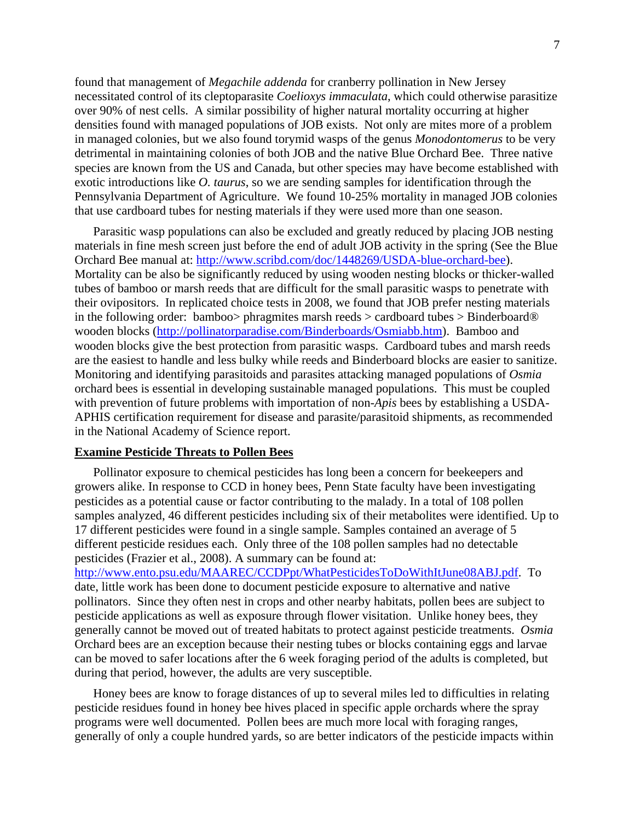found that management of *Megachile addenda* for cranberry pollination in New Jersey necessitated control of its cleptoparasite *Coelioxys immaculata*, which could otherwise parasitize over 90% of nest cells. A similar possibility of higher natural mortality occurring at higher densities found with managed populations of JOB exists. Not only are mites more of a problem in managed colonies, but we also found torymid wasps of the genus *Monodontomerus* to be very detrimental in maintaining colonies of both JOB and the native Blue Orchard Bee. Three native species are known from the US and Canada, but other species may have become established with exotic introductions like *O. taurus*, so we are sending samples for identification through the Pennsylvania Department of Agriculture. We found 10-25% mortality in managed JOB colonies that use cardboard tubes for nesting materials if they were used more than one season.

 Parasitic wasp populations can also be excluded and greatly reduced by placing JOB nesting materials in fine mesh screen just before the end of adult JOB activity in the spring (See the Blue Orchard Bee manual at: [http://www.scribd.com/doc/1448269/USDA-blue-orchard-bee\)](http://www.scribd.com/doc/1448269/USDA-blue-orchard-bee). Mortality can be also be significantly reduced by using wooden nesting blocks or thicker-walled tubes of bamboo or marsh reeds that are difficult for the small parasitic wasps to penetrate with their ovipositors. In replicated choice tests in 2008, we found that JOB prefer nesting materials in the following order: bamboo> phragmites marsh reeds > cardboard tubes > Binderboard® wooden blocks [\(http://pollinatorparadise.com/Binderboards/Osmiabb.htm\)](http://pollinatorparadise.com/Binderboards/Osmiabb.htm). Bamboo and wooden blocks give the best protection from parasitic wasps. Cardboard tubes and marsh reeds are the easiest to handle and less bulky while reeds and Binderboard blocks are easier to sanitize. Monitoring and identifying parasitoids and parasites attacking managed populations of *Osmia* orchard bees is essential in developing sustainable managed populations. This must be coupled with prevention of future problems with importation of non-*Apis* bees by establishing a USDA-APHIS certification requirement for disease and parasite/parasitoid shipments, as recommended in the National Academy of Science report.

# **Examine Pesticide Threats to Pollen Bees**

 Pollinator exposure to chemical pesticides has long been a concern for beekeepers and growers alike. In response to CCD in honey bees, Penn State faculty have been investigating pesticides as a potential cause or factor contributing to the malady. In a total of 108 pollen samples analyzed, 46 different pesticides including six of their metabolites were identified. Up to 17 different pesticides were found in a single sample. Samples contained an average of 5 different pesticide residues each. Only three of the 108 pollen samples had no detectable pesticides (Frazier et al., 2008). A summary can be found at:

[http://www.ento.psu.edu/MAAREC/CCDPpt/WhatPesticidesToDoWithItJune08ABJ.pdf.](http://www.ento.psu.edu/MAAREC/CCDPpt/WhatPesticidesToDoWithItJune08ABJ.pdf) To date, little work has been done to document pesticide exposure to alternative and native pollinators. Since they often nest in crops and other nearby habitats, pollen bees are subject to pesticide applications as well as exposure through flower visitation. Unlike honey bees, they generally cannot be moved out of treated habitats to protect against pesticide treatments. *Osmia* Orchard bees are an exception because their nesting tubes or blocks containing eggs and larvae can be moved to safer locations after the 6 week foraging period of the adults is completed, but during that period, however, the adults are very susceptible.

 Honey bees are know to forage distances of up to several miles led to difficulties in relating pesticide residues found in honey bee hives placed in specific apple orchards where the spray programs were well documented. Pollen bees are much more local with foraging ranges, generally of only a couple hundred yards, so are better indicators of the pesticide impacts within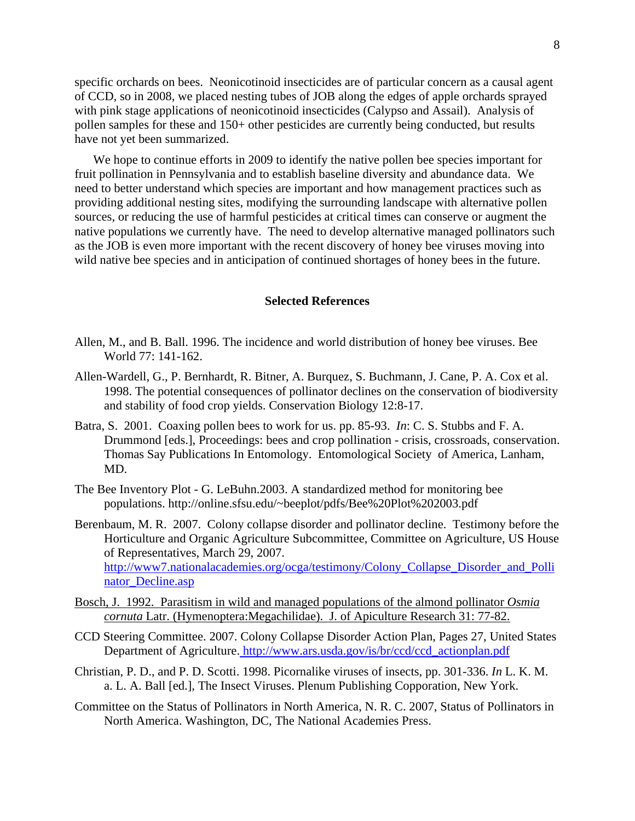specific orchards on bees. Neonicotinoid insecticides are of particular concern as a causal agent of CCD, so in 2008, we placed nesting tubes of JOB along the edges of apple orchards sprayed with pink stage applications of neonicotinoid insecticides (Calypso and Assail). Analysis of pollen samples for these and 150+ other pesticides are currently being conducted, but results have not yet been summarized.

 We hope to continue efforts in 2009 to identify the native pollen bee species important for fruit pollination in Pennsylvania and to establish baseline diversity and abundance data. We need to better understand which species are important and how management practices such as providing additional nesting sites, modifying the surrounding landscape with alternative pollen sources, or reducing the use of harmful pesticides at critical times can conserve or augment the native populations we currently have. The need to develop alternative managed pollinators such as the JOB is even more important with the recent discovery of honey bee viruses moving into wild native bee species and in anticipation of continued shortages of honey bees in the future.

#### **Selected References**

- Allen, M., and B. Ball. 1996. The incidence and world distribution of honey bee viruses. Bee World 77: 141-162.
- Allen-Wardell, G., P. Bernhardt, R. Bitner, A. Burquez, S. Buchmann, J. Cane, P. A. Cox et al. 1998. The potential consequences of pollinator declines on the conservation of biodiversity and stability of food crop yields. Conservation Biology 12:8-17.
- Batra, S. 2001. Coaxing pollen bees to work for us. pp. 85-93. *In*: C. S. Stubbs and F. A. Drummond [eds.], Proceedings: bees and crop pollination - crisis, crossroads, conservation. Thomas Say Publications In Entomology. Entomological Society of America, Lanham, MD.
- The Bee Inventory Plot G. LeBuhn.2003. A standardized method for monitoring bee populations. http://online.sfsu.edu/~beeplot/pdfs/Bee%20Plot%202003.pdf
- Berenbaum, M. R. 2007. Colony collapse disorder and pollinator decline. Testimony before the Horticulture and Organic Agriculture Subcommittee, Committee on Agriculture, US House of Representatives, March 29, 2007. http://www7.nationalacademies.org/ocga/testimony/Colony\_Collapse\_Disorder\_and\_Polli nator\_Decline.asp
- Bosch, J. 1992. Parasitism in wild and managed populations of the almond pollinator *Osmia cornuta* Latr. (Hymenoptera:Megachilidae). J. of Apiculture Research 31: 77-82.
- CCD Steering Committee. 2007. Colony Collapse Disorder Action Plan, Pages 27, United States Department of Agriculture. http://www.ars.usda.gov/is/br/ccd/ccd\_actionplan.pdf
- Christian, P. D., and P. D. Scotti. 1998. Picornalike viruses of insects, pp. 301-336. *In* L. K. M. a. L. A. Ball [ed.], The Insect Viruses. Plenum Publishing Copporation, New York.
- Committee on the Status of Pollinators in North America, N. R. C. 2007, Status of Pollinators in North America. Washington, DC, The National Academies Press.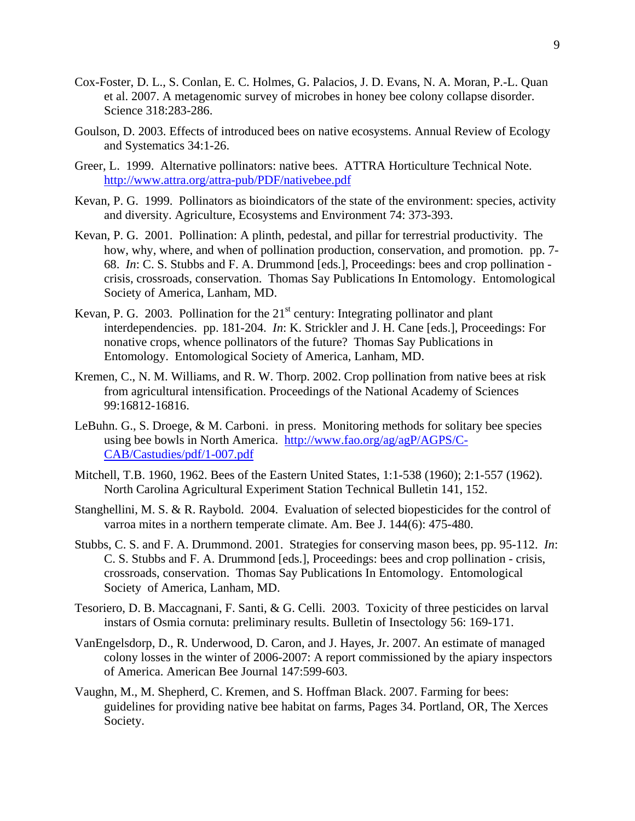- Cox-Foster, D. L., S. Conlan, E. C. Holmes, G. Palacios, J. D. Evans, N. A. Moran, P.-L. Quan et al. 2007. A metagenomic survey of microbes in honey bee colony collapse disorder. Science 318:283-286.
- Goulson, D. 2003. Effects of introduced bees on native ecosystems. Annual Review of Ecology and Systematics 34:1-26.
- Greer, L. 1999. Alternative pollinators: native bees. ATTRA Horticulture Technical Note. http://www.attra.org/attra-pub/PDF/nativebee.pdf
- Kevan, P. G. 1999. Pollinators as bioindicators of the state of the environment: species, activity and diversity. Agriculture, Ecosystems and Environment 74: 373-393.
- Kevan, P. G. 2001. Pollination: A plinth, pedestal, and pillar for terrestrial productivity. The how, why, where, and when of pollination production, conservation, and promotion. pp. 7- 68. *In*: C. S. Stubbs and F. A. Drummond [eds.], Proceedings: bees and crop pollination crisis, crossroads, conservation. Thomas Say Publications In Entomology. Entomological Society of America, Lanham, MD.
- Kevan, P. G. 2003. Pollination for the  $21<sup>st</sup>$  century: Integrating pollinator and plant interdependencies. pp. 181-204. *In*: K. Strickler and J. H. Cane [eds.], Proceedings: For nonative crops, whence pollinators of the future? Thomas Say Publications in Entomology. Entomological Society of America, Lanham, MD.
- Kremen, C., N. M. Williams, and R. W. Thorp. 2002. Crop pollination from native bees at risk from agricultural intensification. Proceedings of the National Academy of Sciences 99:16812-16816.
- LeBuhn. G., S. Droege, & M. Carboni. in press. Monitoring methods for solitary bee species using bee bowls in North America. http://www.fao.org/ag/agP/AGPS/C-CAB/Castudies/pdf/1-007.pdf
- Mitchell, T.B. 1960, 1962. Bees of the Eastern United States, 1:1-538 (1960); 2:1-557 (1962). North Carolina Agricultural Experiment Station Technical Bulletin 141, 152.
- Stanghellini, M. S. & R. Raybold. 2004. Evaluation of selected biopesticides for the control of varroa mites in a northern temperate climate. Am. Bee J. 144(6): 475-480.
- Stubbs, C. S. and F. A. Drummond. 2001. Strategies for conserving mason bees, pp. 95-112. *In*: C. S. Stubbs and F. A. Drummond [eds.], Proceedings: bees and crop pollination - crisis, crossroads, conservation. Thomas Say Publications In Entomology. Entomological Society of America, Lanham, MD.
- Tesoriero, D. B. Maccagnani, F. Santi, & G. Celli. 2003. Toxicity of three pesticides on larval instars of Osmia cornuta: preliminary results. Bulletin of Insectology 56: 169-171.
- VanEngelsdorp, D., R. Underwood, D. Caron, and J. Hayes, Jr. 2007. An estimate of managed colony losses in the winter of 2006-2007: A report commissioned by the apiary inspectors of America. American Bee Journal 147:599-603.
- Vaughn, M., M. Shepherd, C. Kremen, and S. Hoffman Black. 2007. Farming for bees: guidelines for providing native bee habitat on farms, Pages 34. Portland, OR, The Xerces Society.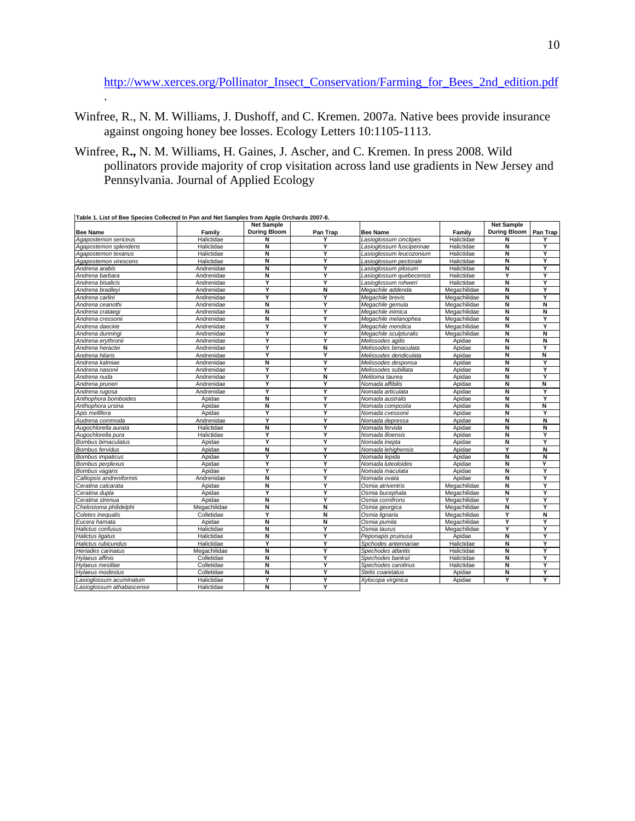[http://www.xerces.org/Pollinator\\_Insect\\_Conservation/Farming\\_for\\_Bees\\_2nd\\_edition.pdf](http://www.xerces.org/Pollinator_Insect_Conservation/Farming_for_Bees_2nd_edition.pdf)

- Winfree, R., N. M. Williams, J. Dushoff, and C. Kremen. 2007a. Native bees provide insurance against ongoing honey bee losses. Ecology Letters 10:1105-1113.
- Winfree, R**.,** N. M. Williams, H. Gaines, J. Ascher, and C. Kremen. In press 2008. Wild pollinators provide majority of crop visitation across land use gradients in New Jersey and Pennsylvania. Journal of Applied Ecology

|                           |              | <b>Net Sample</b>       |                         |                          |              | <b>Net Sample</b>       |          |
|---------------------------|--------------|-------------------------|-------------------------|--------------------------|--------------|-------------------------|----------|
| <b>Bee Name</b>           | Family       | <b>During Bloom</b>     | Pan Trap                | <b>Bee Name</b>          | Family       | <b>During Bloom</b>     | Pan Trap |
| Agapostemon sericeus      | Halictidae   | N                       |                         | Lasioglossum cinctipes   | Halictidae   | N                       |          |
| Agapostemon splendens     | Halictidae   | Ñ                       | Y                       | Lasioglossum fuscipennae | Halictidae   | Ñ                       | Y        |
| Agapostemon texanus       | Halictidae   | N                       | Ÿ                       | Lasioglossum leucozonium | Halictidae   | N                       | Ÿ        |
| Agapostemon virescens     | Halictidae   | Ñ                       | Y                       | Lasioglossum pectorale   | Halictidae   | Ñ                       | Y        |
| Andrena arabis            | Andrenidae   | Ñ                       | Y                       | Lasioglossum pilosum     | Halictidae   | Ñ                       | Y        |
| Andrena barbara           | Andrenidae   | $\overline{\mathsf{N}}$ | Y                       | Lasioglossum quebecensis | Halictidae   | Ϋ                       | Y        |
| Andrena bisalicis         | Andrenidae   | Y                       | Y                       | Lasioglossum rohweri     | Halictidae   | $\overline{\mathsf{N}}$ | Y        |
| Andrena bradleyi          | Andrenidae   | Y                       | N                       | Megachile addenda        | Megachilidae | N                       | Y        |
| Andrena carlini           | Andrenidae   | Y                       | Y                       | Megachile brevis         | Megachilidae | Ñ                       | Y        |
| Andrena ceanothi          | Andrenidae   | N                       | Y                       | Megachile gemula         | Megachilidae | N                       | N        |
| Andrena crataeqi          | Andrenidae   | N                       | Y                       | Megachile inimica        | Megachilidae | N                       | N        |
| Andrena cressonii         | Andrenidae   | N                       | Y                       | Megachile melanophea     | Megachilidae | Ñ                       | Υ        |
| Andrena daeckie           | Andrenidae   | Y                       | Y                       | Megachile mendica        | Megachilidae | Ñ                       | Y        |
| Andrena dunningi          | Andrenidae   | Y                       | Y                       | Megachile sculpturalis   | Megachilidae | N                       | N        |
| Andrena erythronii        | Andrenidae   | Y                       | Y                       | Melissodes agilis        | Apidae       | Ñ                       | N        |
| Andrena heraclei          | Andrenidae   | Ÿ                       | N                       | Melissodes bimaculata    | Apidae       | N                       | Ÿ        |
| Andrena hilaris           | Andrenidae   | Y                       | Y                       | Melissodes dendiculata   | Apidae       | Ñ                       | Ñ        |
| Andrena kalmiae           | Andrenidae   | Ñ                       | Y                       | Melissodes desponsa      | Apidae       | Ñ                       | Y        |
| Andrena nasonii           | Andrenidae   | Ÿ                       | Ÿ                       | Melissodes subillata     | Apidae       | Ñ                       | Ÿ        |
| Andrena nuda              | Andrenidae   | Ϋ                       | $\overline{\mathsf{N}}$ | Melitoma taurea          | Apidae       | $\overline{\mathsf{N}}$ | Y        |
| Andrena pruneri           | Andrenidae   | Y                       | Y                       | Nomada affibilis         | Apidae       | Ñ                       | N        |
| Andrena rugosa            | Andrenidae   | Y                       | Y                       | Nomada articulata        | Apidae       | Ñ                       | Y        |
| Anthophora bomboides      | Apidae       | Ñ                       | Y                       | Nomada australis         | Apidae       | Ñ                       | Y        |
| Anthophora ursina         | Apidae       | N                       | Y                       | Nomada composita         | Apidae       | N                       | N        |
| Apis mellifera            | Apidae       | Y                       | Y                       | Nomada cvessonii         | Apidae       | Ñ                       | Y        |
| Audrena commoda           | Andrenidae   | Y                       | Y                       | Nomada depressa          | Apidae       | Ñ                       | Ñ        |
| Augochlorella aurata      | Halictidae   | N                       | Y                       | Nomada fervida           | Apidae       | N                       | N        |
| Augochlorella pura        | Halictidae   | Υ                       | Y                       | Nomada illoensis         | Apidae       | Ñ                       | Y        |
| Bombus bimaculatus        | Apidae       | Y                       | Y                       | Nomada inepta            | Apidae       | Ñ                       | Y        |
| <b>Bombus fervidus</b>    | Apidae       | N                       | Ÿ                       | Nomada lehighensis       | Apidae       | Ÿ                       | N        |
| Bombus impaticus          | Apidae       | Y                       | Y                       | Nomada lepida            | Apidae       | Ñ                       | N        |
| Bombus perplexus          | Apidae       | Y                       | Y                       | Nomada luteoloides       | Apidae       | Ñ                       | Y        |
| Bombus vagans             | Apidae       | Y                       | Y                       | Nomada maculata          | Apidae       | $\overline{\mathsf{N}}$ | Y        |
| Calliopsis andreniformis  | Andrenidae   | Ñ                       | Y                       | Nomada ovata             | Apidae       | Ñ                       | Y        |
| Ceratina calcarata        | Apidae       | N                       | Y                       | Osmia atriventris        | Megachilidae | N                       | Ÿ        |
| Ceratina dupla            | Apidae       | Y                       | Y                       | Osmia bucephala          | Megachilidae | Ñ                       | Y        |
| Ceratina strenua          | Apidae       | Ñ                       | Y                       | Osmia cornifrons         | Megachilidae | Y                       | Y        |
| Chelostoma philidelphi    | Megachilidae | N                       | N                       | Osmia georgica           | Megachilidae | N                       | Y        |
| Coletes inequalis         | Colletidae   | Y                       | Ñ                       | Osmia lignaria           | Megachilidae | Y                       | N        |
| Eucera hamata             | Apidae       | N                       | N                       | Osmia pumila             | Megachilidae | Y                       | Y        |
| Halictus confusus         | Halictidae   | N                       | Y                       | Osmia taurus             | Megachilidae | Ÿ                       | Ÿ        |
| Halictus ligatus          | Halictidae   | N                       | Υ                       | Peponapis pruinusa       | Apidae       | Ñ                       | Ÿ        |
| Halictus rubicundus       | Halictidae   | Y                       | Y                       | Spchodes antennariae     | Halictidae   | Ñ                       | Y        |
| Heriades carinatus        | Megachilidae | Ñ                       | Y                       | Spechodes atlantis       | Halictidae   | Ñ                       | Y        |
| Hvlaeus affinis           | Colletidae   | Ñ                       | Y                       | Spechodes banksii        | Halictidae   | Ñ                       | Y        |
| Hylaeus mesillae          | Colletidae   | N                       | Y                       | Spechodes carolinus      | Halictidae   | N                       | Y        |
| Hylaeus modestus          | Colletidae   | $\overline{\mathsf{N}}$ | Y                       | Stelis coaretatus        | Apidae       | Ñ                       | Y        |
| Lasioglossum acuminatum   | Halictidae   | Y                       | Y                       | Xylocopa virginica       | Apidae       | Ϋ                       | Y        |
| Lasioglossum athabascense | Halictidae   | N                       | Y                       |                          |              |                         |          |

**Table 1. List of Bee Species Collected In Pan and Net Samples from Apple Orchards 2007-8.**

.